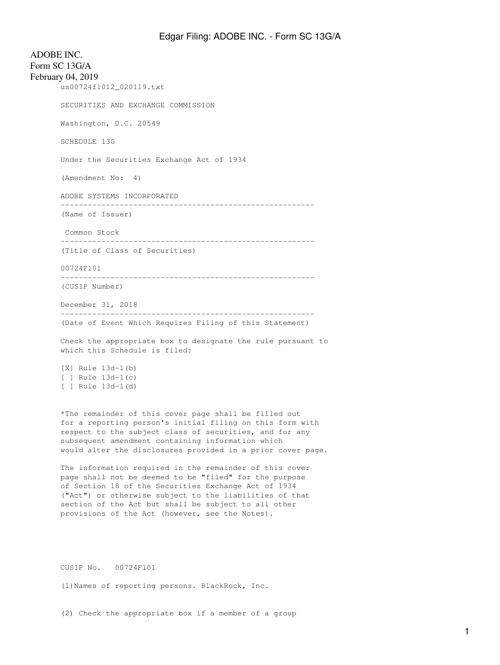ADOBE INC. Form SC 13G/A February 04, 2019 us00724f1012\_020119.txt SECURITIES AND EXCHANGE COMMISSION Washington, D.C. 20549 SCHEDULE 13G Under the Securities Exchange Act of 1934 (Amendment No: 4) ADOBE SYSTEMS INCORPORATED -------------------------------------------------------- (Name of Issuer) Common Stock -------------------------------------------------------- (Title of Class of Securities) 00724F101 -------------------------------------------------------- (CUSIP Number) December 31, 2018 -------------------------------------------------------- (Date of Event Which Requires Filing of this Statement) Check the appropriate box to designate the rule pursuant to which this Schedule is filed: [X] Rule 13d-1(b) [ ] Rule 13d-1(c) [ ] Rule 13d-1(d) \*The remainder of this cover page shall be filled out for a reporting person's initial filing on this form with respect to the subject class of securities, and for any subsequent amendment containing information which would alter the disclosures provided in a prior cover page. The information required in the remainder of this cover

page shall not be deemed to be "filed" for the purpose of Section 18 of the Securities Exchange Act of 1934 ("Act") or otherwise subject to the liabilities of that section of the Act but shall be subject to all other provisions of the Act (however, see the Notes).

CUSIP No. 00724F101

(1)Names of reporting persons. BlackRock, Inc.

(2) Check the appropriate box if a member of a group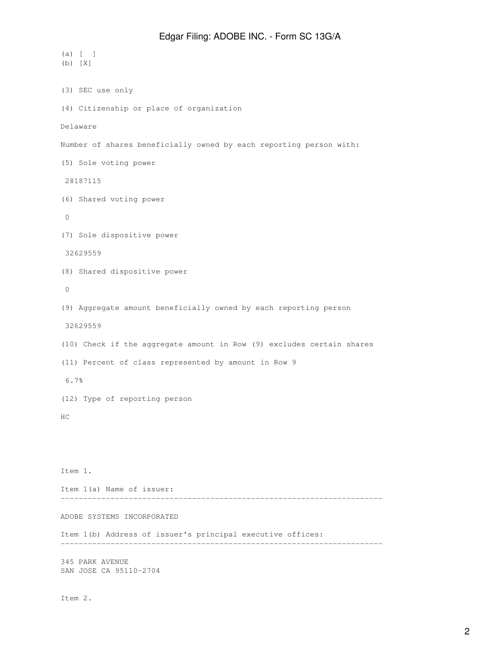```
(a) [ ]
(b) [X]
(3) SEC use only
(4) Citizenship or place of organization
Delaware
Number of shares beneficially owned by each reporting person with:
(5) Sole voting power
 28187115
(6) Shared voting power
 0
(7) Sole dispositive power
 32629559
(8) Shared dispositive power
 0
(9) Aggregate amount beneficially owned by each reporting person
 32629559
(10) Check if the aggregate amount in Row (9) excludes certain shares
(11) Percent of class represented by amount in Row 9
 6.7%
(12) Type of reporting person
HC
Item 1.
Item 1(a) Name of issuer:
-----------------------------------------------------------------------
ADOBE SYSTEMS INCORPORATED
Item 1(b) Address of issuer's principal executive offices:
-----------------------------------------------------------------------
345 PARK AVENUE
SAN JOSE CA 95110-2704
```
Item 2.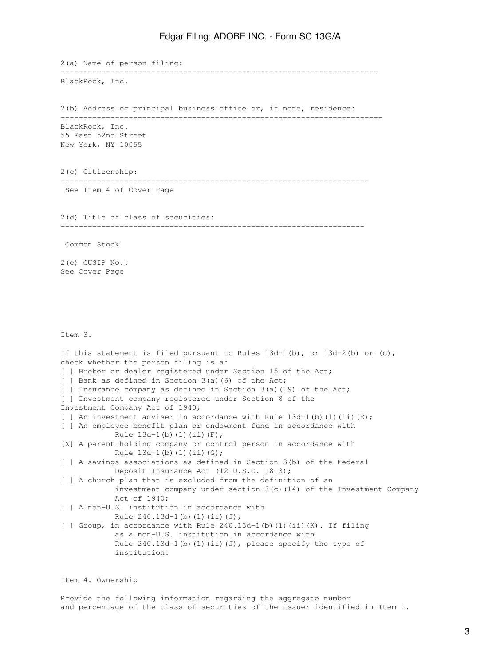2(a) Name of person filing: ---------------------------------------------------------------------- BlackRock, Inc. 2(b) Address or principal business office or, if none, residence: ----------------------------------------------------------------------- BlackRock, Inc. 55 East 52nd Street New York, NY 10055 2(c) Citizenship: -------------------------------------------------------------------- See Item 4 of Cover Page 2(d) Title of class of securities: ------------------------------------------------------------------- Common Stock 2(e) CUSIP No.: See Cover Page Item 3. If this statement is filed pursuant to Rules  $13d-1(b)$ , or  $13d-2(b)$  or  $(c)$ , check whether the person filing is a: [ ] Broker or dealer registered under Section 15 of the Act; [ ] Bank as defined in Section 3(a)(6) of the Act; [ ] Insurance company as defined in Section 3(a)(19) of the Act; [ ] Investment company registered under Section 8 of the Investment Company Act of 1940; [ ] An investment adviser in accordance with Rule  $13d-1$  (b) (1) (ii) (E); [ ] An employee benefit plan or endowment fund in accordance with Rule  $13d-1(b)$  (1)(ii)(F); [X] A parent holding company or control person in accordance with Rule  $13d-1(b)$  (1)(ii)(G); [ ] A savings associations as defined in Section 3(b) of the Federal Deposit Insurance Act (12 U.S.C. 1813); [ ] A church plan that is excluded from the definition of an investment company under section 3(c)(14) of the Investment Company Act of 1940; [ ] A non-U.S. institution in accordance with Rule  $240.13d-1(b)(1)(ii)(J);$ [ ] Group, in accordance with Rule 240.13d-1(b)(1)(ii)(K). If filing as a non-U.S. institution in accordance with Rule  $240.13d-1$ (b)(1)(ii)(J), please specify the type of institution:

Item 4. Ownership

Provide the following information regarding the aggregate number and percentage of the class of securities of the issuer identified in Item 1.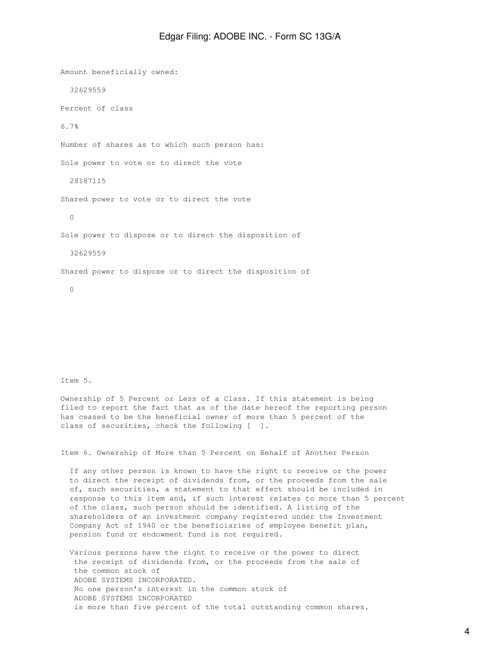Amount beneficially owned: 32629559 Percent of class 6.7% Number of shares as to which such person has: Sole power to vote or to direct the vote 28187115 Shared power to vote or to direct the vote 0 Sole power to dispose or to direct the disposition of 32629559 Shared power to dispose or to direct the disposition of 0

Item 5.

Ownership of 5 Percent or Less of a Class. If this statement is being filed to report the fact that as of the date hereof the reporting person has ceased to be the beneficial owner of more than 5 percent of the class of securities, check the following [ ].

Item 6. Ownership of More than 5 Percent on Behalf of Another Person

 If any other person is known to have the right to receive or the power to direct the receipt of dividends from, or the proceeds from the sale of, such securities, a statement to that effect should be included in response to this item and, if such interest relates to more than 5 percent of the class, such person should be identified. A listing of the shareholders of an investment company registered under the Investment Company Act of 1940 or the beneficiaries of employee benefit plan, pension fund or endowment fund is not required.

 Various persons have the right to receive or the power to direct the receipt of dividends from, or the proceeds from the sale of the common stock of ADOBE SYSTEMS INCORPORATED. No one person's interest in the common stock of ADOBE SYSTEMS INCORPORATED is more than five percent of the total outstanding common shares.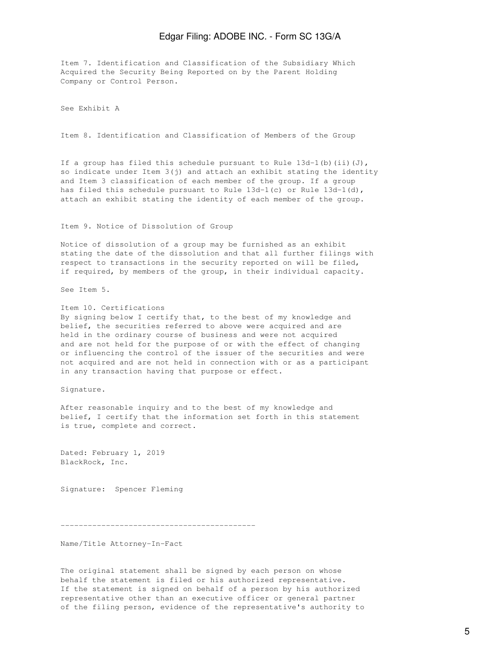Item 7. Identification and Classification of the Subsidiary Which Acquired the Security Being Reported on by the Parent Holding Company or Control Person.

See Exhibit A

Item 8. Identification and Classification of Members of the Group

If a group has filed this schedule pursuant to Rule  $13d-1$  (b) (ii)(J), so indicate under Item  $3(j)$  and attach an exhibit stating the identity and Item 3 classification of each member of the group. If a group has filed this schedule pursuant to Rule 13d-1(c) or Rule 13d-1(d), attach an exhibit stating the identity of each member of the group.

Item 9. Notice of Dissolution of Group

Notice of dissolution of a group may be furnished as an exhibit stating the date of the dissolution and that all further filings with respect to transactions in the security reported on will be filed, if required, by members of the group, in their individual capacity.

See Item 5.

Item 10. Certifications By signing below I certify that, to the best of my knowledge and belief, the securities referred to above were acquired and are held in the ordinary course of business and were not acquired and are not held for the purpose of or with the effect of changing or influencing the control of the issuer of the securities and were not acquired and are not held in connection with or as a participant in any transaction having that purpose or effect.

Signature.

After reasonable inquiry and to the best of my knowledge and belief, I certify that the information set forth in this statement is true, complete and correct.

Dated: February 1, 2019 BlackRock, Inc.

Signature: Spencer Fleming

-------------------------------------------

Name/Title Attorney-In-Fact

The original statement shall be signed by each person on whose behalf the statement is filed or his authorized representative. If the statement is signed on behalf of a person by his authorized representative other than an executive officer or general partner of the filing person, evidence of the representative's authority to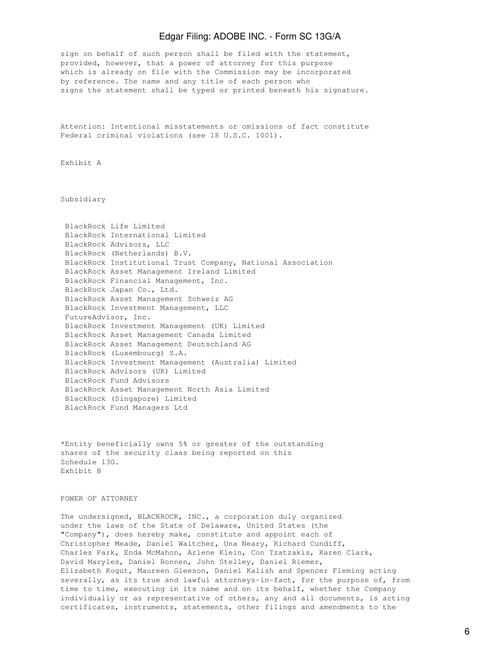sign on behalf of such person shall be filed with the statement, provided, however, that a power of attorney for this purpose which is already on file with the Commission may be incorporated by reference. The name and any title of each person who signs the statement shall be typed or printed beneath his signature.

Attention: Intentional misstatements or omissions of fact constitute Federal criminal violations (see 18 U.S.C. 1001).

Exhibit A

Subsidiary

|                     | BlackRock Life Limited                                      |
|---------------------|-------------------------------------------------------------|
|                     | BlackRock International Limited                             |
|                     | BlackRock Advisors, LLC                                     |
|                     | BlackRock (Netherlands) B.V.                                |
|                     | BlackRock Institutional Trust Company, National Association |
|                     | BlackRock Asset Management Ireland Limited                  |
|                     | BlackRock Financial Management, Inc.                        |
|                     | BlackRock Japan Co., Ltd.                                   |
|                     | BlackRock Asset Management Schweiz AG                       |
|                     | BlackRock Investment Management, LLC                        |
| FutureAdvisor, Inc. |                                                             |
|                     | BlackRock Investment Management (UK) Limited                |
|                     | BlackRock Asset Management Canada Limited                   |
|                     | BlackRock Asset Management Deutschland AG                   |
|                     | BlackRock (Luxembourg) S.A.                                 |
|                     | BlackRock Investment Management (Australia) Limited         |
|                     | BlackRock Advisors (UK) Limited                             |
|                     | BlackRock Fund Advisors                                     |
|                     | BlackRock Asset Management North Asia Limited               |
|                     | BlackRock (Singapore) Limited                               |
|                     | BlackRock Fund Managers Ltd                                 |
|                     |                                                             |

\*Entity beneficially owns 5% or greater of the outstanding shares of the security class being reported on this Schedule 13G. Exhibit B

POWER OF ATTORNEY

The undersigned, BLACKROCK, INC., a corporation duly organized under the laws of the State of Delaware, United States (the "Company"), does hereby make, constitute and appoint each of Christopher Meade, Daniel Waltcher, Una Neary, Richard Cundiff, Charles Park, Enda McMahon, Arlene Klein, Con Tzatzakis, Karen Clark, David Maryles, Daniel Ronnen, John Stelley, Daniel Riemer, Elizabeth Kogut, Maureen Gleeson, Daniel Kalish and Spencer Fleming acting severally, as its true and lawful attorneys-in-fact, for the purpose of, from time to time, executing in its name and on its behalf, whether the Company individually or as representative of others, any and all documents, is acting certificates, instruments, statements, other filings and amendments to the